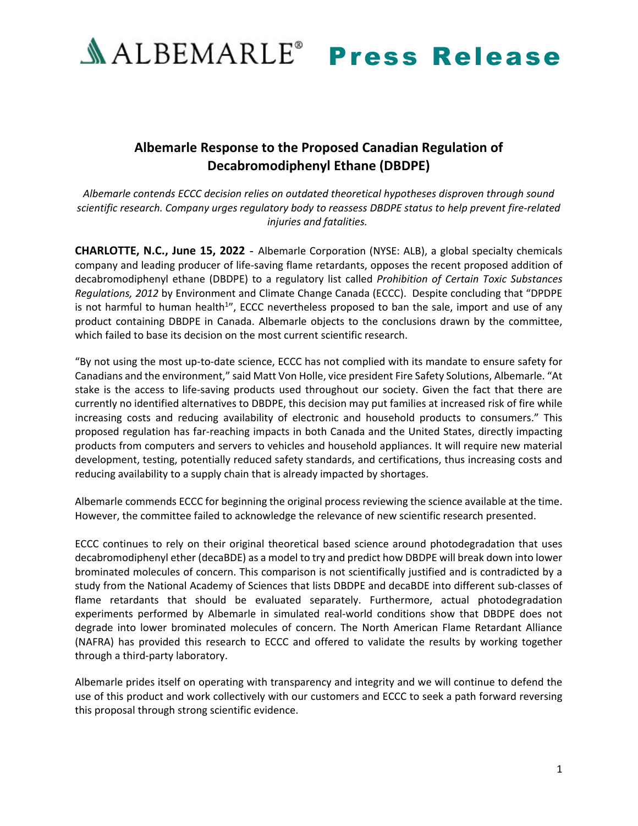

## **Albemarle Response to the Proposed Canadian Regulation of Decabromodiphenyl Ethane (DBDPE)**

*Albemarle contends ECCC decision relies on outdated theoretical hypotheses disproven through sound scientific research. Company urges regulatory body to reassess DBDPE status to help prevent fire-related injuries and fatalities.*

**CHARLOTTE, N.C., June 15, 2022** - Albemarle Corporation (NYSE: ALB), a global specialty chemicals company and leading producer of life-saving flame retardants, opposes the recent proposed addition of decabromodiphenyl ethane (DBDPE) to a regulatory list called *Prohibition of Certain Toxic Substances Regulations, 2012* by Environment and Climate Change Canada (ECCC). Despite concluding that "DPDPE is not harmful to human health<sup>1</sup>", ECCC nevertheless proposed to ban the sale, import and use of any product containing DBDPE in Canada. Albemarle objects to the conclusions drawn by the committee, which failed to base its decision on the most current scientific research.

"By not using the most up-to-date science, ECCC has not complied with its mandate to ensure safety for Canadians and the environment," said Matt Von Holle, vice president Fire Safety Solutions, Albemarle. "At stake is the access to life-saving products used throughout our society. Given the fact that there are currently no identified alternatives to DBDPE, this decision may put families at increased risk of fire while increasing costs and reducing availability of electronic and household products to consumers." This proposed regulation has far-reaching impacts in both Canada and the United States, directly impacting products from computers and servers to vehicles and household appliances. It will require new material development, testing, potentially reduced safety standards, and certifications, thus increasing costs and reducing availability to a supply chain that is already impacted by shortages.

Albemarle commends ECCC for beginning the original process reviewing the science available at the time. However, the committee failed to acknowledge the relevance of new scientific research presented.

ECCC continues to rely on their original theoretical based science around photodegradation that uses decabromodiphenyl ether (decaBDE) as a model to try and predict how DBDPE will break down into lower brominated molecules of concern. This comparison is not scientifically justified and is contradicted by a study from the National Academy of Sciences that lists DBDPE and decaBDE into different sub-classes of flame retardants that should be evaluated separately. Furthermore, actual photodegradation experiments performed by Albemarle in simulated real-world conditions show that DBDPE does not degrade into lower brominated molecules of concern. The North American Flame Retardant Alliance (NAFRA) has provided this research to ECCC and offered to validate the results by working together through a third-party laboratory.

Albemarle prides itself on operating with transparency and integrity and we will continue to defend the use of this product and work collectively with our customers and ECCC to seek a path forward reversing this proposal through strong scientific evidence.